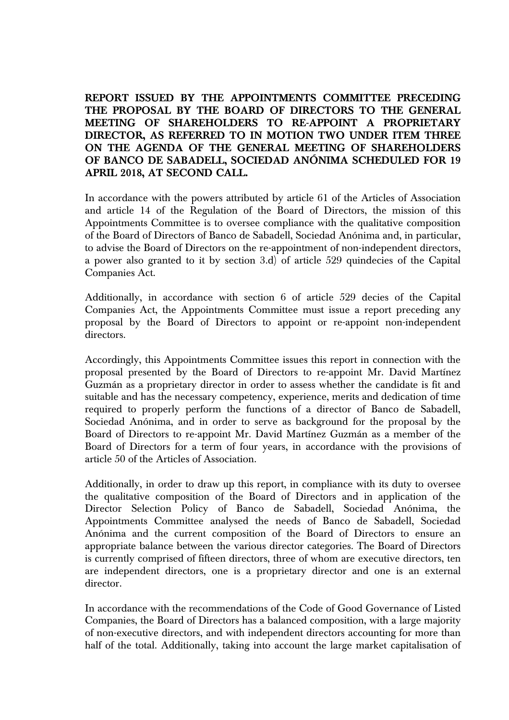**REPORT ISSUED BY THE APPOINTMENTS COMMITTEE PRECEDING THE PROPOSAL BY THE BOARD OF DIRECTORS TO THE GENERAL MEETING OF SHAREHOLDERS TO RE-APPOINT A PROPRIETARY DIRECTOR, AS REFERRED TO IN MOTION TWO UNDER ITEM THREE ON THE AGENDA OF THE GENERAL MEETING OF SHAREHOLDERS OF BANCO DE SABADELL, SOCIEDAD ANÓNIMA SCHEDULED FOR 19 APRIL 2018, AT SECOND CALL.** 

In accordance with the powers attributed by article 61 of the Articles of Association and article 14 of the Regulation of the Board of Directors, the mission of this Appointments Committee is to oversee compliance with the qualitative composition of the Board of Directors of Banco de Sabadell, Sociedad Anónima and, in particular, to advise the Board of Directors on the re-appointment of non-independent directors, a power also granted to it by section 3.d) of article 529 quindecies of the Capital Companies Act.

Additionally, in accordance with section 6 of article 529 decies of the Capital Companies Act, the Appointments Committee must issue a report preceding any proposal by the Board of Directors to appoint or re-appoint non-independent directors.

Accordingly, this Appointments Committee issues this report in connection with the proposal presented by the Board of Directors to re-appoint Mr. David Martínez Guzmán as a proprietary director in order to assess whether the candidate is fit and suitable and has the necessary competency, experience, merits and dedication of time required to properly perform the functions of a director of Banco de Sabadell, Sociedad Anónima, and in order to serve as background for the proposal by the Board of Directors to re-appoint Mr. David Martínez Guzmán as a member of the Board of Directors for a term of four years, in accordance with the provisions of article 50 of the Articles of Association.

Additionally, in order to draw up this report, in compliance with its duty to oversee the qualitative composition of the Board of Directors and in application of the Director Selection Policy of Banco de Sabadell, Sociedad Anónima, the Appointments Committee analysed the needs of Banco de Sabadell, Sociedad Anónima and the current composition of the Board of Directors to ensure an appropriate balance between the various director categories. The Board of Directors is currently comprised of fifteen directors, three of whom are executive directors, ten are independent directors, one is a proprietary director and one is an external director.

In accordance with the recommendations of the Code of Good Governance of Listed Companies, the Board of Directors has a balanced composition, with a large majority of non-executive directors, and with independent directors accounting for more than half of the total. Additionally, taking into account the large market capitalisation of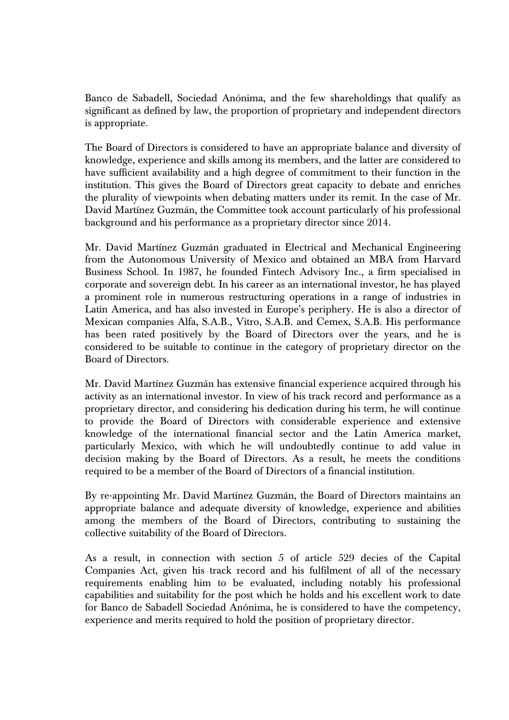Banco de Sabadell, Sociedad Anónima, and the few shareholdings that qualify as significant as defined by law, the proportion of proprietary and independent directors is appropriate.

The Board of Directors is considered to have an appropriate balance and diversity of knowledge, experience and skills among its members, and the latter are considered to have sufficient availability and a high degree of commitment to their function in the institution. This gives the Board of Directors great capacity to debate and enriches the plurality of viewpoints when debating matters under its remit. In the case of Mr. David Martínez Guzmán, the Committee took account particularly of his professional background and his performance as a proprietary director since 2014.

Mr. David Martínez Guzmán graduated in Electrical and Mechanical Engineering from the Autonomous University of Mexico and obtained an MBA from Harvard Business School. In 1987, he founded Fintech Advisory Inc., a firm specialised in corporate and sovereign debt. In his career as an international investor, he has played a prominent role in numerous restructuring operations in a range of industries in Latin America, and has also invested in Europe's periphery. He is also a director of Mexican companies Alfa, S.A.B., Vitro, S.A.B. and Cemex, S.A.B. His performance has been rated positively by the Board of Directors over the years, and he is considered to be suitable to continue in the category of proprietary director on the Board of Directors.

Mr. David Martínez Guzmán has extensive financial experience acquired through his activity as an international investor. In view of his track record and performance as a proprietary director, and considering his dedication during his term, he will continue to provide the Board of Directors with considerable experience and extensive knowledge of the international financial sector and the Latin America market, particularly Mexico, with which he will undoubtedly continue to add value in decision making by the Board of Directors. As a result, he meets the conditions required to be a member of the Board of Directors of a financial institution.

By re-appointing Mr. David Martínez Guzmán, the Board of Directors maintains an appropriate balance and adequate diversity of knowledge, experience and abilities among the members of the Board of Directors, contributing to sustaining the collective suitability of the Board of Directors.

As a result, in connection with section 5 of article 529 decies of the Capital Companies Act, given his track record and his fulfilment of all of the necessary requirements enabling him to be evaluated, including notably his professional capabilities and suitability for the post which he holds and his excellent work to date for Banco de Sabadell Sociedad Anónima, he is considered to have the competency, experience and merits required to hold the position of proprietary director.